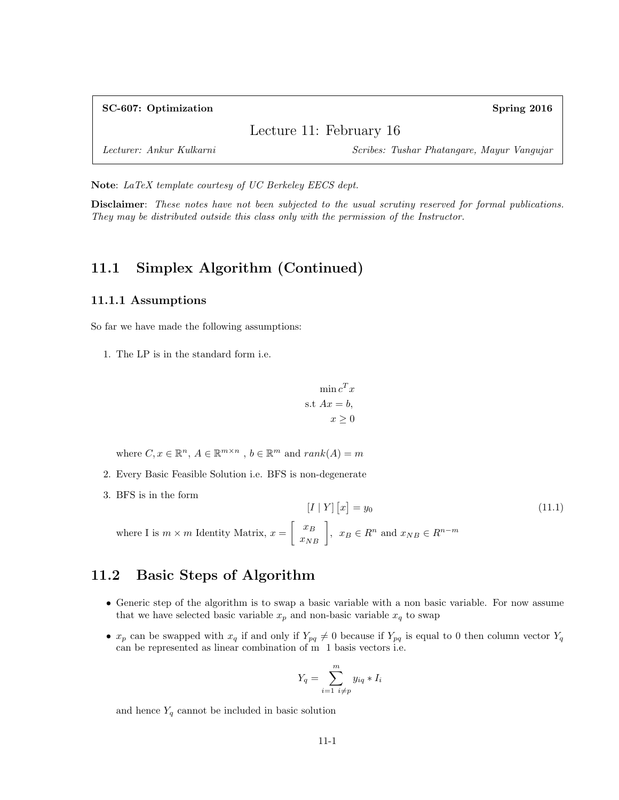| SC-607: Optimization     | Spring 2016                                |
|--------------------------|--------------------------------------------|
|                          | Lecture 11: February 16                    |
| Lecturer: Ankur Kulkarni | Scribes: Tushar Phatangare, Mayur Vangujar |

Note: LaTeX template courtesy of UC Berkeley EECS dept.

Disclaimer: These notes have not been subjected to the usual scrutiny reserved for formal publications. They may be distributed outside this class only with the permission of the Instructor.

### 11.1 Simplex Algorithm (Continued)

#### 11.1.1 Assumptions

So far we have made the following assumptions:

1. The LP is in the standard form i.e.

$$
\min c^T x
$$
  
s.t  $Ax = b$ ,  
 $x \ge 0$ 

where  $C, x \in \mathbb{R}^n, A \in \mathbb{R}^{m \times n}, b \in \mathbb{R}^m$  and  $rank(A) = m$ 

- 2. Every Basic Feasible Solution i.e. BFS is non-degenerate
- 3. BFS is in the form

 $[I | Y] [x]$  $(11.1)$ where I is  $m \times m$  Identity Matrix,  $x = \begin{bmatrix} x_B \\ x_{NB} \end{bmatrix}$ ,  $x_B \in R^n$  and  $x_{NB} \in R^{n-m}$ 

### 11.2 Basic Steps of Algorithm

- Generic step of the algorithm is to swap a basic variable with a non basic variable. For now assume that we have selected basic variable  $x_p$  and non-basic variable  $x_q$  to swap
- $x_p$  can be swapped with  $x_q$  if and only if  $Y_{pq} \neq 0$  because if  $Y_{pq}$  is equal to 0 then column vector  $Y_q$ can be represented as linear combination of m 1 basis vectors i.e.

$$
Y_q = \sum_{i=1}^m y_{iq} * I_i
$$

and hence  $Y_q$  cannot be included in basic solution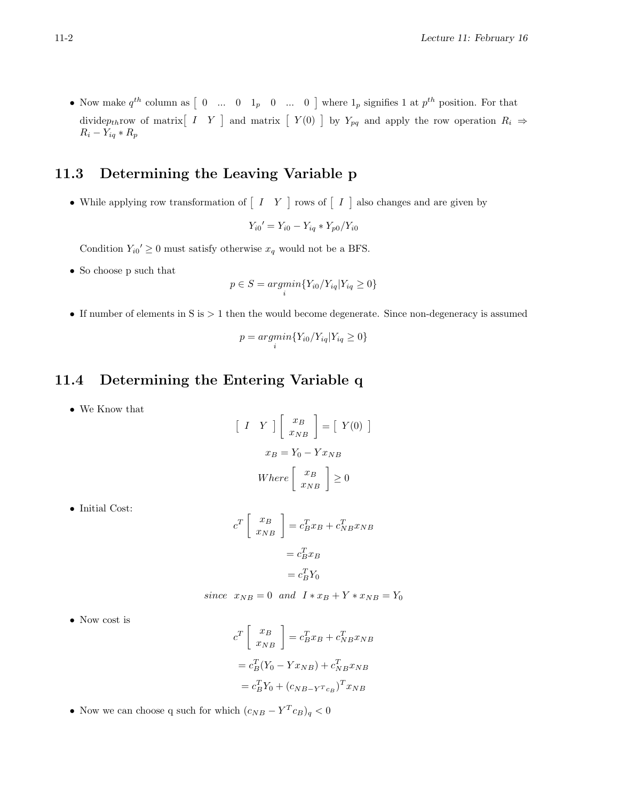• Now make  $q^{th}$  column as  $\begin{bmatrix} 0 & \dots & 0 & 1_p & 0 & \dots & 0 \end{bmatrix}$  where  $1_p$  signifies 1 at  $p^{th}$  position. For that dividepthrow of matrix  $\begin{bmatrix} I & Y \end{bmatrix}$  and matrix  $\begin{bmatrix} Y(0) & Y_{pq} \end{bmatrix}$  by  $Y_{pq}$  and apply the row operation  $R_i \Rightarrow$  $R_i - Y_{iq} * R_p$ 

## 11.3 Determining the Leaving Variable p

• While applying row transformation of  $\begin{bmatrix} I & Y \end{bmatrix}$  rows of  $\begin{bmatrix} I & I \end{bmatrix}$  also changes and are given by

$$
Y_{i0}' = Y_{i0} - Y_{iq} * Y_{p0}/Y_{i0}
$$

Condition  $Y_{i0} \geq 0$  must satisfy otherwise  $x_q$  would not be a BFS.

• So choose p such that

$$
p\in S = argmin_{i}\{Y_{i0}/Y_{iq}|Y_{iq}\geq 0\}
$$

• If number of elements in S is > 1 then the would become degenerate. Since non-degeneracy is assumed

$$
p = \underset{i}{argmin} \{ Y_{i0} / Y_{iq} | Y_{iq} \ge 0 \}
$$

## 11.4 Determining the Entering Variable q

• We Know that

$$
\begin{bmatrix} I & Y \end{bmatrix} \begin{bmatrix} x_B \\ x_{NB} \end{bmatrix} = \begin{bmatrix} Y(0) \end{bmatrix}
$$

$$
x_B = Y_0 - Yx_{NB}
$$

$$
Where \begin{bmatrix} x_B \\ x_{NB} \end{bmatrix} \ge 0
$$

• Initial Cost:

$$
c^T \begin{bmatrix} x_B \\ x_{NB} \end{bmatrix} = c_B^T x_B + c_{NB}^T x_{NB}
$$

$$
= c_B^T x_B
$$

$$
= c_B^T Y_0
$$

since 
$$
x_{NB} = 0
$$
 and  $I * x_B + Y * x_{NB} = Y_0$ 

• Now cost is

$$
c^T \begin{bmatrix} x_B \\ x_{NB} \end{bmatrix} = c_B^T x_B + c_{NB}^T x_{NB}
$$

$$
= c_B^T (Y_0 - Y x_{NB}) + c_{NB}^T x_{NB}
$$

$$
= c_B^T Y_0 + (c_{NB} - Y^T c_B)^T x_{NB}
$$

• Now we can choose q such for which  $(c_{NB} - Y^T c_B)_q < 0$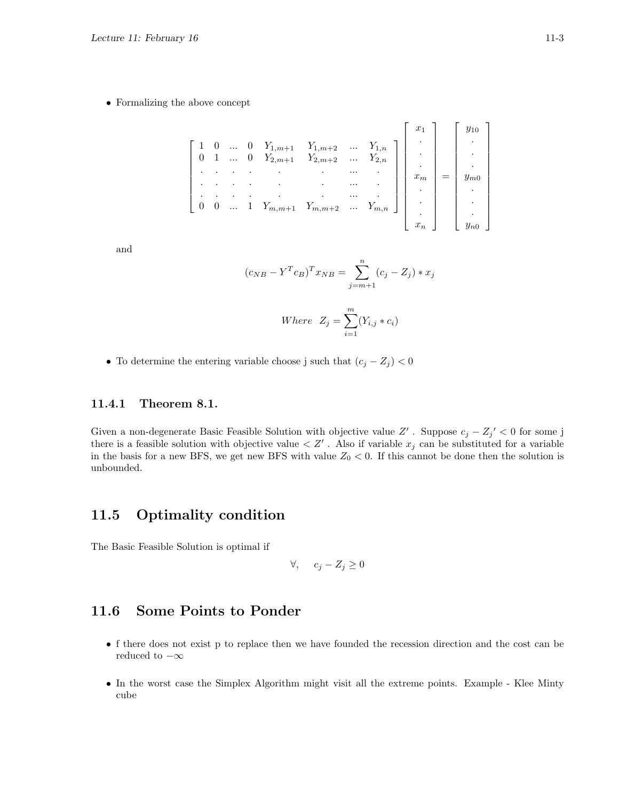• Formalizing the above concept

|  |          |  | $\left[ \begin{array}{cccccccccc} 1 & 0 & \ldots & 0 & Y_{1,m+1} & Y_{1,m+2} & \ldots & Y_{1,n} \\ 0 & 1 & \ldots & 0 & Y_{2,m+1} & Y_{2,m+2} & \ldots & Y_{2,n} \end{array} \right]$ |  |  |  |
|--|----------|--|---------------------------------------------------------------------------------------------------------------------------------------------------------------------------------------|--|--|--|
|  |          |  |                                                                                                                                                                                       |  |  |  |
|  |          |  |                                                                                                                                                                                       |  |  |  |
|  |          |  |                                                                                                                                                                                       |  |  |  |
|  | $\ldots$ |  |                                                                                                                                                                                       |  |  |  |
|  |          |  |                                                                                                                                                                                       |  |  |  |

and

$$
(c_{NB} - Y^T c_B)^T x_{NB} = \sum_{j=m+1}^{n} (c_j - Z_j) * x_j
$$

Where 
$$
Z_j = \sum_{i=1}^{m} (Y_{i,j} * c_i)
$$

• To determine the entering variable choose j such that  $(c_j - Z_j) < 0$ 

#### 11.4.1 Theorem 8.1.

Given a non-degenerate Basic Feasible Solution with objective value Z'. Suppose  $c_j - Z_j' < 0$  for some j there is a feasible solution with objective value  $Z'$ . Also if variable  $x_j$  can be substituted for a variable in the basis for a new BFS, we get new BFS with value  $Z_0 < 0$ . If this cannot be done then the solution is unbounded.

#### 11.5 Optimality condition

The Basic Feasible Solution is optimal if

$$
\forall, \quad c_j - Z_j \ge 0
$$

#### 11.6 Some Points to Ponder

- f there does not exist p to replace then we have founded the recession direction and the cost can be reduced to  $-\infty$
- In the worst case the Simplex Algorithm might visit all the extreme points. Example Klee Minty cube